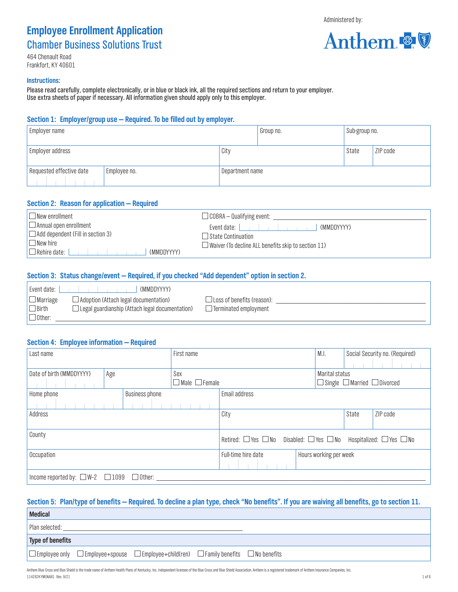## **Employee Enrollment Application** Chamber Business Solutions Trust

464 Chenault Road Frankfort, KY 40601

#### **Instructions:**

Please read carefully, complete electronically, or in blue or black ink, all the required sections and return to your employer. Use extra sheets of paper if necessary. All information given should apply only to this employer.

## **Section 1: Employer/group use — Required. To be filled out by employer.**

| <b>Employer name</b>     |              |                 | Group no. | Sub-group no. |          |
|--------------------------|--------------|-----------------|-----------|---------------|----------|
| Employer address         |              | City            |           | State         | ZIP code |
| Requested effective date | Employee no. | Department name |           |               |          |

## **Section 2: Reason for application — Required**

| $\Box$ New enrollment                                                                                                                    | $\Box$ COBRA – Qualifying event:                                                                 |
|------------------------------------------------------------------------------------------------------------------------------------------|--------------------------------------------------------------------------------------------------|
| $\Box$ Annual open enrollment<br>$\Box$ Add dependent (Fill in section 3)<br>$\Box$ New hire<br>$\Box$ Rehire date: $\Box$<br>(MMDDYYYY) | (MMDDYYYY)<br>□ State Continuation<br>$\Box$ Waiver (To decline ALL benefits skip to section 11) |

## **Section 3: Status change/event — Required, if you checked "Add dependent" option in section 2.**

| Event date: I   | (MMDDYYYY)                                             |                                   |  |
|-----------------|--------------------------------------------------------|-----------------------------------|--|
| $\Box$ Marriage | $\Box$ Adoption (Attach legal documentation)           | $\Box$ Loss of benefits (reason): |  |
| $\Box$ Birth    | $\Box$ Legal guardianship (Attach legal documentation) | $\Box$ Terminated employment      |  |
| $\Box$ Other:   |                                                        |                                   |  |

## **Section 4: Employee information — Required**

| Last name                                                |     | First name |                                                                                                 |     |                           | M.I.          | Social Security no. (Required) |                |          |                                              |
|----------------------------------------------------------|-----|------------|-------------------------------------------------------------------------------------------------|-----|---------------------------|---------------|--------------------------------|----------------|----------|----------------------------------------------|
|                                                          |     |            |                                                                                                 |     |                           |               |                                |                |          |                                              |
| Date of birth (MMDDYYYY)                                 | Age |            |                                                                                                 | Sex |                           |               |                                | Marital status |          |                                              |
|                                                          |     |            |                                                                                                 |     | $\Box$ Male $\Box$ Female |               |                                |                |          | $\Box$ Single $\Box$ Married $\Box$ Divorced |
| Business phone<br>Home phone                             |     |            | Email address                                                                                   |     |                           |               |                                |                |          |                                              |
|                                                          |     |            |                                                                                                 |     |                           |               |                                |                |          |                                              |
| Address                                                  |     |            |                                                                                                 |     |                           | City<br>State |                                |                | ZIP code |                                              |
|                                                          |     |            |                                                                                                 |     |                           |               |                                |                |          |                                              |
| County                                                   |     |            | Retired: $\Box$ Yes $\Box$ No Disabled: $\Box$ Yes $\Box$ No Hospitalized: $\Box$ Yes $\Box$ No |     |                           |               |                                |                |          |                                              |
| Occupation                                               |     |            | Hours working per week<br>Full-time hire date                                                   |     |                           |               |                                |                |          |                                              |
|                                                          |     |            |                                                                                                 |     |                           |               |                                |                |          |                                              |
| Income reported by: $\Box$ W-2 $\Box$ 1099 $\Box$ Other: |     |            |                                                                                                 |     |                           |               |                                |                |          |                                              |

## **Section 5: Plan/type of benefits — Required. To decline a plan type, check "No benefits". If you are waiving all benefits, go to section 11.**

| <b>Medical</b>   |                                                                                                                  |  |
|------------------|------------------------------------------------------------------------------------------------------------------|--|
| Plan selected:   |                                                                                                                  |  |
| Type of benefits |                                                                                                                  |  |
|                  | $\Box$ Employee only $\Box$ Employee+spouse $\Box$ Employee+child(ren) $\Box$ Family benefits $\Box$ No benefits |  |

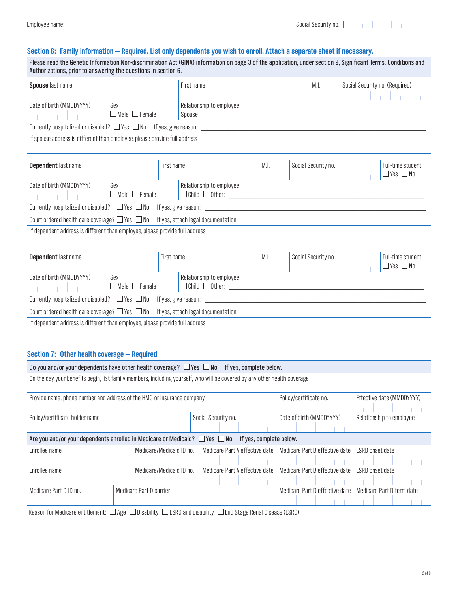## **Section 6: Family information — Required. List only dependents you wish to enroll. Attach a separate sheet if necessary.**

| Please read the Genetic Information Non-discrimination Act (GINA) information on page 3 of the application, under section 9, Significant Terms, Conditions and<br>Authorizations, prior to answering the questions in section 6. |            |  |                                |  |  |
|----------------------------------------------------------------------------------------------------------------------------------------------------------------------------------------------------------------------------------|------------|--|--------------------------------|--|--|
| Spouse last name                                                                                                                                                                                                                 | First name |  | Social Security no. (Required) |  |  |

| <b>OPOUSO</b> ROL HUING                                                       |                           | 111 JUL 1141116          | $\mathbf{v}_1, \mathbf{v}_2$ | <b>OUGIGE OUGHTLY TIO.</b> (INGQUILGU) |  |  |  |  |  |
|-------------------------------------------------------------------------------|---------------------------|--------------------------|------------------------------|----------------------------------------|--|--|--|--|--|
|                                                                               |                           |                          |                              |                                        |  |  |  |  |  |
| Date of birth (MMDDYYYY)<br>Sex                                               |                           | Relationship to employee |                              |                                        |  |  |  |  |  |
|                                                                               | $\Box$ Male $\Box$ Female | Spouse                   |                              |                                        |  |  |  |  |  |
| Currently hospitalized or disabled? $\Box$ Yes $\Box$ No If yes, give reason: |                           |                          |                              |                                        |  |  |  |  |  |
| If spouse address is different than employee, please provide full address     |                           |                          |                              |                                        |  |  |  |  |  |

| <b>Dependent last name</b>                                                                   |                                                                               | First name |                                                        | M.I. | Social Security no. | Full-time student<br>$\Box$ Yes $\Box$ No |  |
|----------------------------------------------------------------------------------------------|-------------------------------------------------------------------------------|------------|--------------------------------------------------------|------|---------------------|-------------------------------------------|--|
| Date of birth (MMDDYYYY)                                                                     | Sex<br>$\Box$ Male $\Box$ Female                                              |            | Relationship to employee<br>$\Box$ Child $\Box$ Other: |      |                     |                                           |  |
|                                                                                              | Currently hospitalized or disabled? $\Box$ Yes $\Box$ No If yes, give reason: |            |                                                        |      |                     |                                           |  |
| Court ordered health care coverage? $\Box$ Yes $\Box$ No If yes, attach legal documentation. |                                                                               |            |                                                        |      |                     |                                           |  |
| If dependent address is different than employee, please provide full address                 |                                                                               |            |                                                        |      |                     |                                           |  |

| <b>Dependent last name</b>                                                                   |                                                                               | First name                                             |  | Social Security no. | Full-time student<br>$\Box$ Yes $\Box$ No |  |
|----------------------------------------------------------------------------------------------|-------------------------------------------------------------------------------|--------------------------------------------------------|--|---------------------|-------------------------------------------|--|
| Date of birth (MMDDYYYY)<br>Sex                                                              | $\sqcap$ Male $\sqcap$ Female                                                 | Relationship to employee<br>$\Box$ Child $\Box$ Other: |  |                     |                                           |  |
|                                                                                              | Currently hospitalized or disabled? $\Box$ Yes $\Box$ No If yes, give reason: |                                                        |  |                     |                                           |  |
| Court ordered health care coverage? $\Box$ Yes $\Box$ No If yes, attach legal documentation. |                                                                               |                                                        |  |                     |                                           |  |
| If dependent address is different than employee, please provide full address                 |                                                                               |                                                        |  |                     |                                           |  |

## **Section 7: Other health coverage — Required**

| Do you and/or your dependents have other health coverage? $\Box$ Yes $\Box$ No If yes, complete below.                         |                          |                                |                                |                 |  |  |  |
|--------------------------------------------------------------------------------------------------------------------------------|--------------------------|--------------------------------|--------------------------------|-----------------|--|--|--|
| On the day your benefits begin, list family members, including yourself, who will be covered by any other health coverage      |                          |                                |                                |                 |  |  |  |
| Provide name, phone number and address of the HMO or insurance company<br>Policy/certificate no.<br>Effective date (MMDDYYYY)  |                          |                                |                                |                 |  |  |  |
| Policy/certificate holder name                                                                                                 | Social Security no.      | Date of birth (MMDDYYYY)       | Relationship to employee       |                 |  |  |  |
| Are you and/or your dependents enrolled in Medicare or Medicaid? $\Box$ Yes $\Box$ No                                          |                          | If yes, complete below.        |                                |                 |  |  |  |
| Enrollee name                                                                                                                  | Medicare/Medicaid ID no. | Medicare Part A effective date | Medicare Part B effective date | ESRD onset date |  |  |  |
| Enrollee name                                                                                                                  | Medicare/Medicaid ID no. | Medicare Part A effective date | Medicare Part B effective date | ESRD onset date |  |  |  |
| Medicare Part D ID no.                                                                                                         | Medicare Part D carrier  | Medicare Part D effective date | Medicare Part D term date      |                 |  |  |  |
| Reason for Medicare entitlement: $\Box$ Age $\Box$ Disability $\Box$ ESRD and disability $\Box$ End Stage Renal Disease (ESRD) |                          |                                |                                |                 |  |  |  |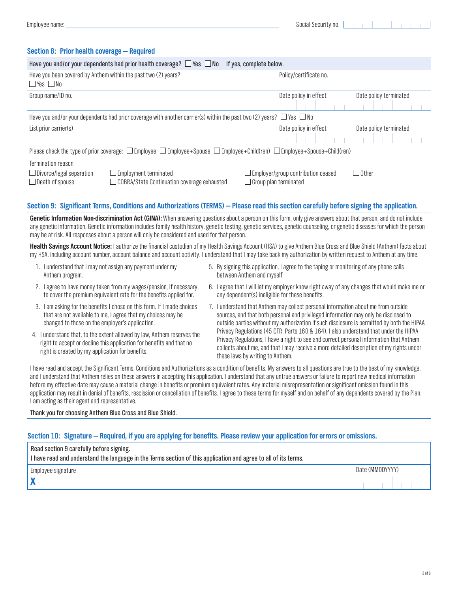## **Section 8: Prior health coverage — Required**

| Have you and/or your dependents had prior health coverage? $\Box$ Yes $\Box$ No<br>If yes, complete below.                                                            |                                                                      |                        |  |  |  |  |  |
|-----------------------------------------------------------------------------------------------------------------------------------------------------------------------|----------------------------------------------------------------------|------------------------|--|--|--|--|--|
| Have you been covered by Anthem within the past two (2) years?<br>$\Box$ Yes $\Box$ No                                                                                | Policy/certificate no.                                               |                        |  |  |  |  |  |
| Group name/ID no.                                                                                                                                                     | Date policy in effect                                                | Date policy terminated |  |  |  |  |  |
|                                                                                                                                                                       |                                                                      |                        |  |  |  |  |  |
| Have you and/or your dependents had prior coverage with another carrier(s) within the past two (2) years? $\Box$ Yes $\Box$ No                                        |                                                                      |                        |  |  |  |  |  |
| List prior carrier(s)                                                                                                                                                 | Date policy in effect                                                | Date policy terminated |  |  |  |  |  |
|                                                                                                                                                                       |                                                                      |                        |  |  |  |  |  |
| Please check the type of prior coverage: $\square$ Employee $\square$ Employee+Spouse $\square$ Employee+Child(ren) $\square$ Employee+Spouse+Child(ren)              |                                                                      |                        |  |  |  |  |  |
| Termination reason<br>$\Box$ Divorce/legal separation<br>$\Box$ Employment terminated<br>$\Box$ Death of spouse<br>$\Box$ COBRA/State Continuation coverage exhausted | J Employer/group contribution ceased<br>$\Box$ Group plan terminated | $\Box$ Other           |  |  |  |  |  |

## **Section 9: Significant Terms, Conditions and Authorizations (TERMS) — Please read this section carefully before signing the application.**

**Genetic Information Non-discrimination Act (GINA):** When answering questions about a person on this form, only give answers about that person, and do not include any genetic information. Genetic information includes family health history, genetic testing, genetic services, genetic counseling, or genetic diseases for which the person may be at risk. All responses about a person will only be considered and used for that person.

**Health Savings Account Notice:** I authorize the financial custodian of my Health Savings Account (HSA) to give Anthem Blue Cross and Blue Shield (Anthem) facts about my HSA, including account number, account balance and account activity. I understand that I may take back my authorization by written request to Anthem at any time.

- 1. I understand that I may not assign any payment under my Anthem program.
- 5. By signing this application, I agree to the taping or monitoring of any phone calls between Anthem and myself.
- 2. I agree to have money taken from my wages/pension, if necessary, to cover the premium equivalent rate for the benefits applied for.
- 3. I am asking for the benefits I chose on this form. If I made choices that are not available to me, I agree that my choices may be changed to those on the employer's application.
- 4. I understand that, to the extent allowed by law, Anthem reserves the right to accept or decline this application for benefits and that no right is created by my application for benefits.
- 
- 6. I agree that I will let my employer know right away of any changes that would make me or any dependent(s) ineligible for these benefits.
- 7. I understand that Anthem may collect personal information about me from outside sources, and that both personal and privileged information may only be disclosed to outside parties without my authorization if such disclosure is permitted by both the HIPAA Privacy Regulations (45 CFR. Parts 160 & 164). I also understand that under the HIPAA Privacy Regulations, I have a right to see and correct personal information that Anthem collects about me, and that I may receive a more detailed description of my rights under these laws by writing to Anthem.

I have read and accept the Significant Terms, Conditions and Authorizations as a condition of benefits. My answers to all questions are true to the best of my knowledge, and I understand that Anthem relies on these answers in accepting this application. I understand that any untrue answers or failure to report new medical information before my effective date may cause a material change in benefits or premium equivalent rates. Any material misrepresentation or significant omission found in this application may result in denial of benefits, rescission or cancellation of benefits. I agree to these terms for myself and on behalf of any dependents covered by the Plan. Iam acting as their agent and representative.

Thank you for choosing Anthem Blue Cross and Blue Shield.

## **Section 10: Signature — Required, if you are applying for benefits. Please review your application for errors or omissions.**

| Read section 9 carefully before signing.<br>I have read and understand the language in the Terms section of this application and agree to all of its terms. |                 |
|-------------------------------------------------------------------------------------------------------------------------------------------------------------|-----------------|
| Employee signature                                                                                                                                          | Date (MMDDYYYY) |
|                                                                                                                                                             |                 |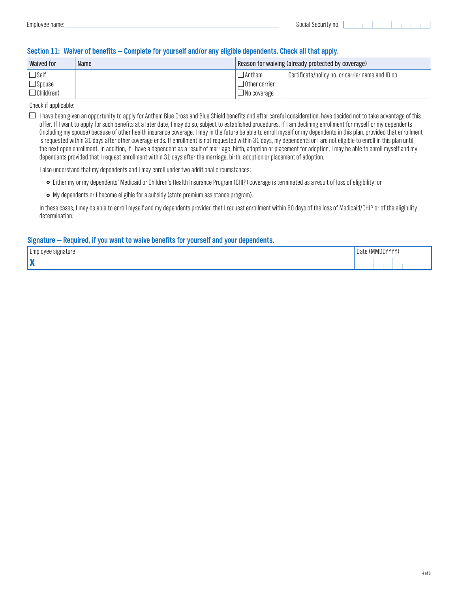| <b>Waived for</b>                                 | <b>Name</b> | Reason for waiving (already protected by coverage)          |                                                   |  |  |  |
|---------------------------------------------------|-------------|-------------------------------------------------------------|---------------------------------------------------|--|--|--|
| $\Box$ Self<br>$\Box$ Spouse<br>$\Box$ Child(ren) |             | $\Box$ Anthem<br>$\Box$ Other carrier<br>$\Box$ No coverage | Certificate/policy no. or carrier name and ID no. |  |  |  |

#### Check if applicable:

 $\Box$  I have been given an opportunity to apply for Anthem Blue Cross and Blue Shield benefits and after careful consideration, have decided not to take advantage of this offer. If I want to apply for such benefits at a later date, I may do so, subject to established procedures. If I am declining enrollment for myself or my dependents (including my spouse) because of other health insurance coverage, I may in the future be able to enroll myself or my dependents in this plan, provided that enrollment is requested within 31 days after other coverage ends. If enrollment is not requested within 31 days, my dependents or I are not eligible to enroll in this plan until the next open enrollment. In addition, if I have a dependent as a result of marriage, birth, adoption or placement for adoption, I may be able to enroll myself and my dependents provided that I request enrollment within 31 days after the marriage, birth, adoption or placement of adoption.

I also understand that my dependents and I may enroll under two additional circumstances:

- £ Either my or my dependents' Medicaid or Children's Health Insurance Program (CHIP) coverage is terminated as a result of loss of eligibility; or
- My dependents or I become eligible for a subsidy (state premium assistance program).

In these cases, I may be able to enroll myself and my dependents provided that I request enrollment within 60 days of the loss of Medicaid/CHIP or of the eligibility determination.

## **Signature — Required, if you want to waive benefits for yourself and your dependents.**

| $\sim$<br>-mnlnve<br>арняг | Dale | " (WINDD) | $\mathbf{u}$<br>. |  |
|----------------------------|------|-----------|-------------------|--|
| . .                        |      |           |                   |  |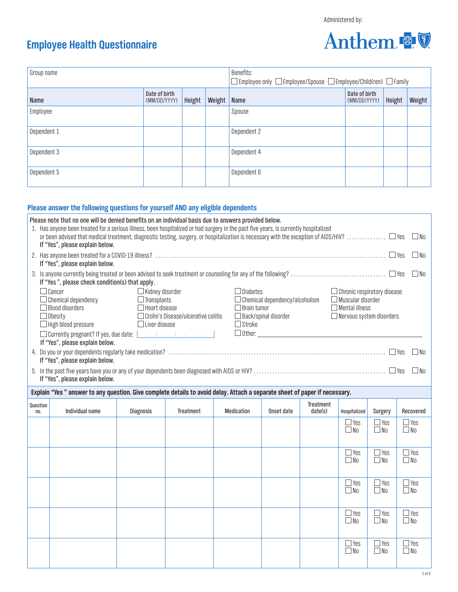Anthem

# **Employee Health Questionnaire**

|                                                                                                                                                                                                                                                                                                                                                                                                                                                                                                                                                                                |                                                                                                                            |                               |                  |               | Benefits:         |            |                      |                               |            |        |            |
|--------------------------------------------------------------------------------------------------------------------------------------------------------------------------------------------------------------------------------------------------------------------------------------------------------------------------------------------------------------------------------------------------------------------------------------------------------------------------------------------------------------------------------------------------------------------------------|----------------------------------------------------------------------------------------------------------------------------|-------------------------------|------------------|---------------|-------------------|------------|----------------------|-------------------------------|------------|--------|------------|
| Group name<br>$\square$ Employee only $\square$ Employee/Spouse $\square$ Employee/Child(ren) $\square$ Family                                                                                                                                                                                                                                                                                                                                                                                                                                                                 |                                                                                                                            |                               |                  |               |                   |            |                      |                               |            |        |            |
| Name                                                                                                                                                                                                                                                                                                                                                                                                                                                                                                                                                                           |                                                                                                                            | Date of birth<br>(MM/DD/YYYY) | Height           | Weight   Name |                   |            |                      | Date of birth<br>(MM/DD/YYYY) |            | Height | Weight     |
| Employee                                                                                                                                                                                                                                                                                                                                                                                                                                                                                                                                                                       |                                                                                                                            |                               |                  |               | Spouse            |            |                      |                               |            |        |            |
| Dependent 1                                                                                                                                                                                                                                                                                                                                                                                                                                                                                                                                                                    |                                                                                                                            |                               |                  |               | Dependent 2       |            |                      |                               |            |        |            |
| Dependent 3                                                                                                                                                                                                                                                                                                                                                                                                                                                                                                                                                                    |                                                                                                                            |                               |                  |               | Dependent 4       |            |                      |                               |            |        |            |
| Dependent 5                                                                                                                                                                                                                                                                                                                                                                                                                                                                                                                                                                    |                                                                                                                            |                               |                  |               | Dependent 6       |            |                      |                               |            |        |            |
|                                                                                                                                                                                                                                                                                                                                                                                                                                                                                                                                                                                | Please answer the following questions for yourself AND any eligible dependents                                             |                               |                  |               |                   |            |                      |                               |            |        |            |
| Please note that no one will be denied benefits on an individual basis due to answers provided below.<br>1. Has anyone been treated for a serious illness, been hospitalized or had surgery in the past five years, is currently hospitalized                                                                                                                                                                                                                                                                                                                                  |                                                                                                                            |                               |                  |               |                   |            |                      |                               |            | l INo  |            |
| If "Yes", please explain below.<br>If "Yes", please explain below.                                                                                                                                                                                                                                                                                                                                                                                                                                                                                                             |                                                                                                                            |                               |                  |               |                   |            |                      |                               |            | l INn  |            |
|                                                                                                                                                                                                                                                                                                                                                                                                                                                                                                                                                                                |                                                                                                                            |                               |                  |               |                   |            |                      |                               |            |        | $\Box$ No  |
| If "Yes", please check condition(s) that apply.<br>$\Box$ Cancer<br>$\Box$ Kidney disorder<br>Diabetes<br>$\Box$ Chronic respiratory disease<br>$\Box$ Muscular disorder<br>$\Box$ Chemical dependency/alcoholism<br>$\Box$ Chemical dependency<br>$\Box$ Transplants<br>$\Box$ Blood disorders<br>$\Box$ Brain tumor<br>$\Box$ Heart disease<br>$\Box$ Mental illness<br>$\Box$ Crohn's Disease/ulcerative colitis<br>$\Box$ Back/spinal disorder<br>$\Box$ Obesity<br>$\Box$ Nervous system disorders<br>$\Box$ High blood pressure<br>$\Box$ Liver disease<br>$\Box$ Stroke |                                                                                                                            |                               |                  |               |                   |            |                      |                               |            |        |            |
|                                                                                                                                                                                                                                                                                                                                                                                                                                                                                                                                                                                | If "Yes", please explain below.                                                                                            |                               |                  |               |                   |            |                      |                               |            |        |            |
|                                                                                                                                                                                                                                                                                                                                                                                                                                                                                                                                                                                | If "Yes", please explain below.                                                                                            |                               |                  |               |                   |            |                      |                               |            |        | l INo      |
|                                                                                                                                                                                                                                                                                                                                                                                                                                                                                                                                                                                | If "Yes", please explain below.                                                                                            |                               |                  |               |                   |            |                      |                               |            |        | l INn      |
|                                                                                                                                                                                                                                                                                                                                                                                                                                                                                                                                                                                | Explain "Yes" answer to any question. Give complete details to avoid delay. Attach a separate sheet of paper if necessary. |                               |                  |               |                   |            |                      |                               |            |        |            |
| Question<br>no.                                                                                                                                                                                                                                                                                                                                                                                                                                                                                                                                                                | Individual name                                                                                                            | <b>Diagnosis</b>              | <b>Treatment</b> |               | <b>Medication</b> | Onset date | Treatment<br>date(s) | Hospitalized                  | Surgery    |        | Recovered  |
|                                                                                                                                                                                                                                                                                                                                                                                                                                                                                                                                                                                |                                                                                                                            |                               |                  |               |                   |            |                      | $\Box$ Yes                    | $\Box$ Yes |        | $\Box$ Yes |

|  |  |  | $\square$ Yes<br>$\square$ No | $\Box$ Yes<br>$\Box$ No | $\Box$ Yes<br>$\Box$ No |
|--|--|--|-------------------------------|-------------------------|-------------------------|
|  |  |  | $\Box$ Yes<br>$\square$ No    | $\Box$ Yes<br>$\Box$ No | $\Box$ Yes<br>$\Box$ No |
|  |  |  | $\Box$ Yes<br>$\square$ No    | $\Box$ Yes<br>$\Box$ No | $\Box$ Yes<br>$\Box$ No |
|  |  |  | $\Box$ Yes<br>$\square$ No    | $\Box$ Yes<br>$\Box$ No | $\Box$ Yes<br>$\Box$ No |
|  |  |  | $\Box$ Yes<br>$\square$ No    | $\Box$ Yes<br>$\Box$ No | $\Box$ Yes<br>$\Box$ No |